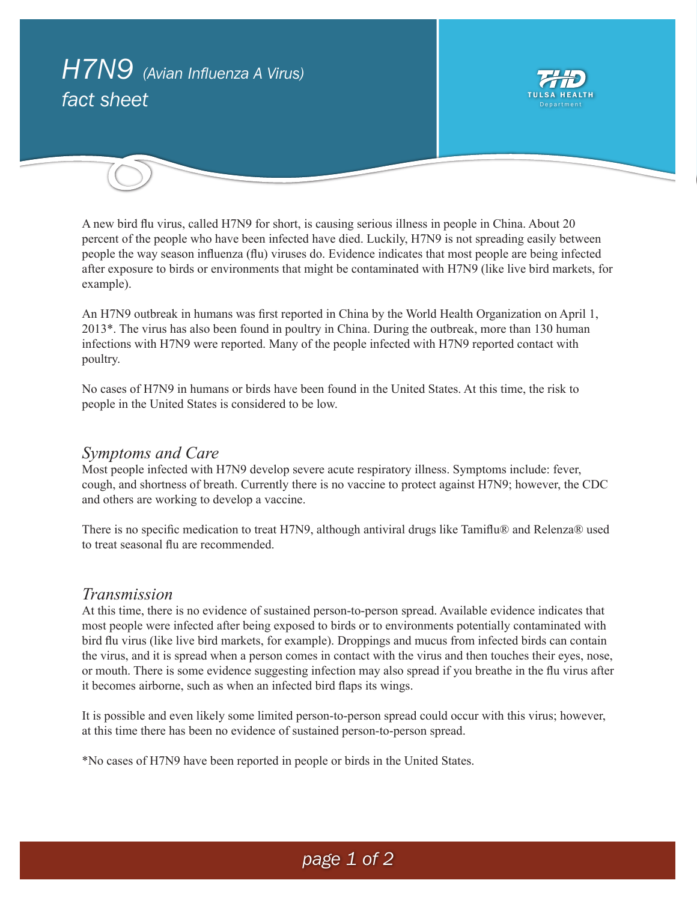# *H7N9 (Avian Influenza A Virus)* fact sheet



A new bird flu virus, called H7N9 for short, is causing serious illness in people in China. About 20 percent of the people who have been infected have died. Luckily, H7N9 is not spreading easily between people the way season influenza (flu) viruses do. Evidence indicates that most people are being infected after exposure to birds or environments that might be contaminated with H7N9 (like live bird markets, for example).

An H7N9 outbreak in humans was first reported in China by the World Health Organization on April 1, 2013\*. The virus has also been found in poultry in China. During the outbreak, more than 130 human infections with H7N9 were reported. Many of the people infected with H7N9 reported contact with poultry.

No cases of H7N9 in humans or birds have been found in the United States. At this time, the risk to people in the United States is considered to be low.

#### *Symptoms and Care*

Most people infected with H7N9 develop severe acute respiratory illness. Symptoms include: fever, cough, and shortness of breath. Currently there is no vaccine to protect against H7N9; however, the CDC and others are working to develop a vaccine.

There is no specific medication to treat H7N9, although antiviral drugs like Tamiflu® and Relenza® used to treat seasonal flu are recommended.

#### *Transmission*

At this time, there is no evidence of sustained person-to-person spread. Available evidence indicates that most people were infected after being exposed to birds or to environments potentially contaminated with bird flu virus (like live bird markets, for example). Droppings and mucus from infected birds can contain the virus, and it is spread when a person comes in contact with the virus and then touches their eyes, nose, or mouth. There is some evidence suggesting infection may also spread if you breathe in the flu virus after it becomes airborne, such as when an infected bird flaps its wings.

It is possible and even likely some limited person-to-person spread could occur with this virus; however, at this time there has been no evidence of sustained person-to-person spread.

\*No cases of H7N9 have been reported in people or birds in the United States.